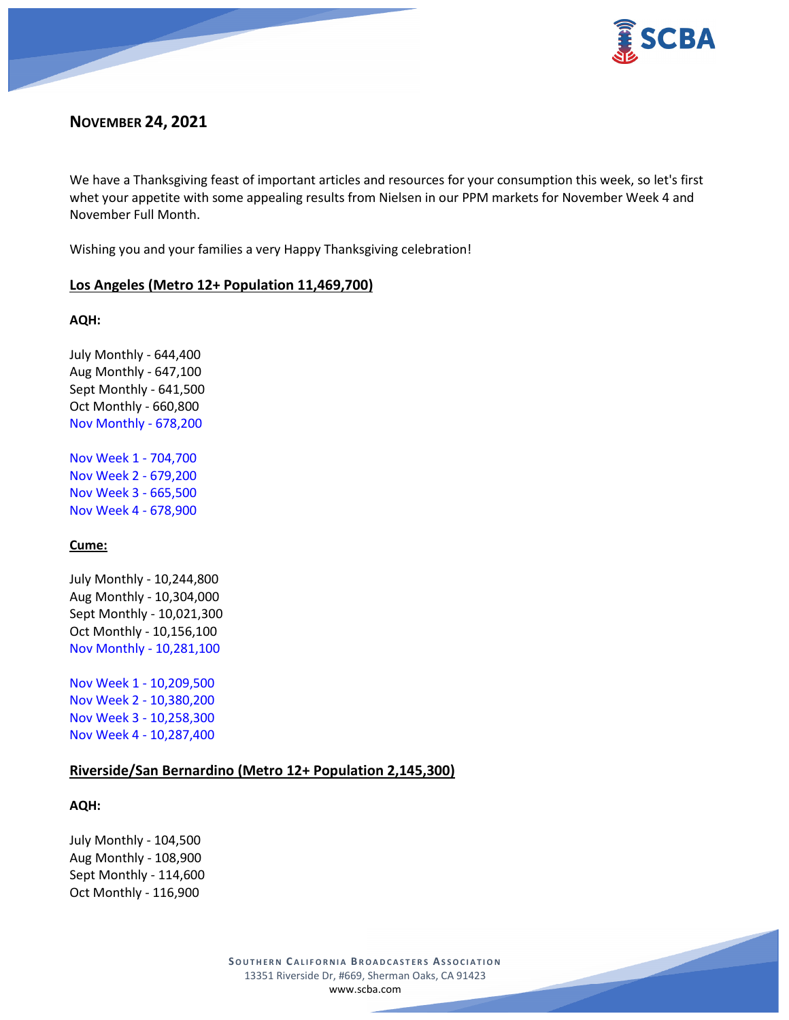

# **NOVEMBER 24, 2021**

We have a Thanksgiving feast of important articles and resources for your consumption this week, so let's first whet your appetite with some appealing results from Nielsen in our PPM markets for November Week 4 and November Full Month.

Wishing you and your families a very Happy Thanksgiving celebration!

## **Los Angeles (Metro 12+ Population 11,469,700)**

## **AQH:**

July Monthly - 644,400 Aug Monthly - 647,100 Sept Monthly - 641,500 Oct Monthly - 660,800 Nov Monthly - 678,200

Nov Week 1 - 704,700 Nov Week 2 - 679,200 Nov Week 3 - 665,500 Nov Week 4 - 678,900

# **Cume:**

July Monthly - 10,244,800 Aug Monthly - 10,304,000 Sept Monthly - 10,021,300 Oct Monthly - 10,156,100 Nov Monthly - 10,281,100

Nov Week 1 - 10,209,500 Nov Week 2 - 10,380,200 Nov Week 3 - 10,258,300 Nov Week 4 - 10,287,400

# **Riverside/San Bernardino (Metro 12+ Population 2,145,300)**

## **AQH:**

July Monthly - 104,500 Aug Monthly - 108,900 Sept Monthly - 114,600 Oct Monthly - 116,900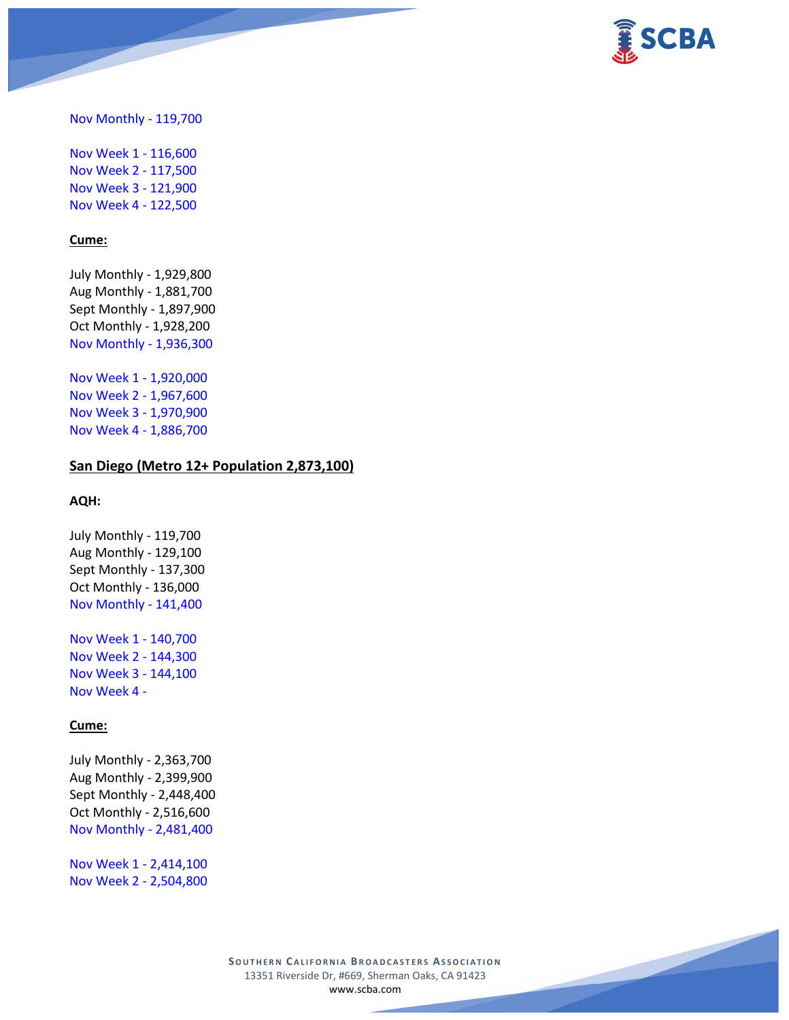

Nov Monthly - 119,700

Nov Week 1 - 116,600 Nov Week 2 - 117,500 Nov Week 3 - 121,900 Nov Week 4 - 122,500

#### **Cume:**

July Monthly - 1,929,800 Aug Monthly - 1,881,700 Sept Monthly - 1,897,900 Oct Monthly - 1,928,200 Nov Monthly - 1,936,300

Nov Week 1 - 1,920,000 Nov Week 2 - 1,967,600 Nov Week 3 - 1,970,900 Nov Week 4 - 1,886,700

## **San Diego (Metro 12+ Population 2,873,100)**

#### **AQH:**

July Monthly - 119,700 Aug Monthly - 129,100 Sept Monthly - 137,300 Oct Monthly - 136,000 Nov Monthly - 141,400

Nov Week 1 - 140,700 Nov Week 2 - 144,300 Nov Week 3 - 144,100 Nov Week 4 -

#### **Cume:**

July Monthly - 2,363,700 Aug Monthly - 2,399,900 Sept Monthly - 2,448,400 Oct Monthly - 2,516,600 Nov Monthly - 2,481,400

Nov Week 1 - 2,414,100 Nov Week 2 - 2,504,800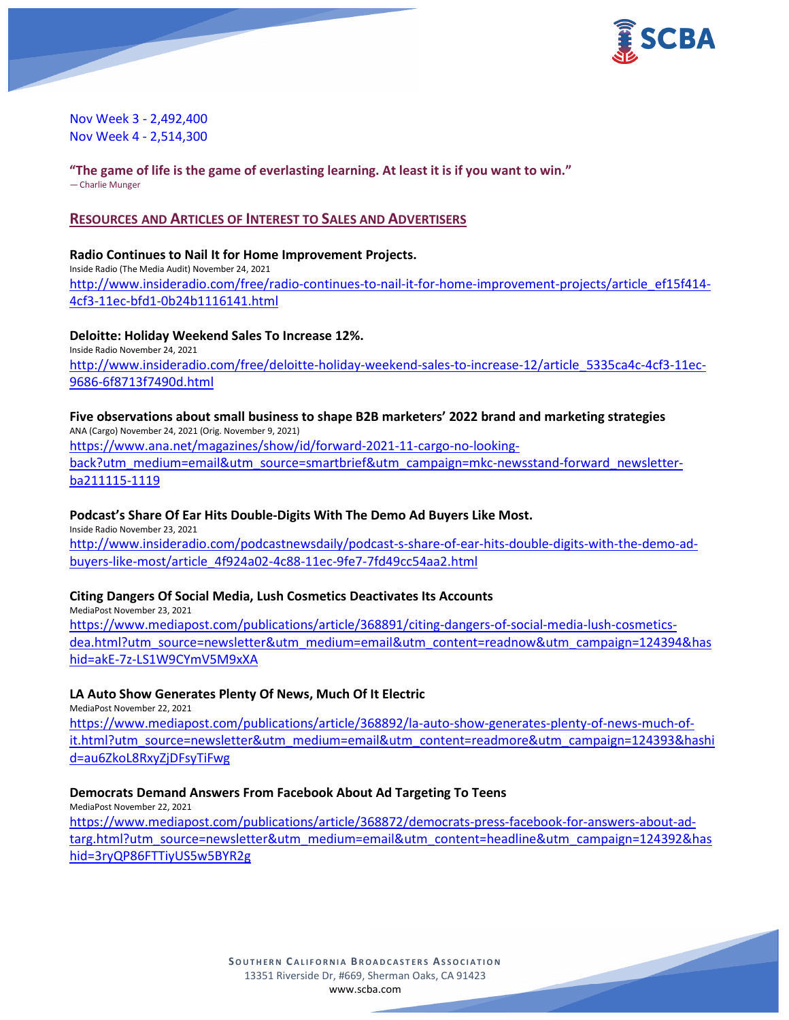

Nov Week 3 - 2,492,400 Nov Week 4 - 2,514,300

**"The game of life is the game of everlasting learning. At least it is if you want to win."** — Charlie Munger

## **RESOURCES AND ARTICLES OF INTEREST TO SALES AND ADVERTISERS**

## **Radio Continues to Nail It for Home Improvement Projects.** Inside Radio (The Media Audit) November 24, 2021 [http://www.insideradio.com/free/radio-continues-to-nail-it-for-home-improvement-projects/article\\_ef15f414-](http://www.insideradio.com/free/radio-continues-to-nail-it-for-home-improvement-projects/article_ef15f414-4cf3-11ec-bfd1-0b24b1116141.html) [4cf3-11ec-bfd1-0b24b1116141.html](http://www.insideradio.com/free/radio-continues-to-nail-it-for-home-improvement-projects/article_ef15f414-4cf3-11ec-bfd1-0b24b1116141.html)

## **Deloitte: Holiday Weekend Sales To Increase 12%.**

Inside Radio November 24, 2021 [http://www.insideradio.com/free/deloitte-holiday-weekend-sales-to-increase-12/article\\_5335ca4c-4cf3-11ec-](http://www.insideradio.com/free/deloitte-holiday-weekend-sales-to-increase-12/article_5335ca4c-4cf3-11ec-9686-6f8713f7490d.html)[9686-6f8713f7490d.html](http://www.insideradio.com/free/deloitte-holiday-weekend-sales-to-increase-12/article_5335ca4c-4cf3-11ec-9686-6f8713f7490d.html)

# **Five observations about small business to shape B2B marketers' 2022 brand and marketing strategies** ANA (Cargo) November 24, 2021 (Orig. November 9, 2021)

[https://www.ana.net/magazines/show/id/forward-2021-11-cargo-no-looking](https://www.ana.net/magazines/show/id/forward-2021-11-cargo-no-looking-back?utm_medium=email&utm_source=smartbrief&utm_campaign=mkc-newsstand-forward_newsletter-ba211115-1119)[back?utm\\_medium=email&utm\\_source=smartbrief&utm\\_campaign=mkc-newsstand-forward\\_newsletter](https://www.ana.net/magazines/show/id/forward-2021-11-cargo-no-looking-back?utm_medium=email&utm_source=smartbrief&utm_campaign=mkc-newsstand-forward_newsletter-ba211115-1119)[ba211115-1119](https://www.ana.net/magazines/show/id/forward-2021-11-cargo-no-looking-back?utm_medium=email&utm_source=smartbrief&utm_campaign=mkc-newsstand-forward_newsletter-ba211115-1119)

# **Podcast's Share Of Ear Hits Double-Digits With The Demo Ad Buyers Like Most.**

Inside Radio November 23, 2021 [http://www.insideradio.com/podcastnewsdaily/podcast-s-share-of-ear-hits-double-digits-with-the-demo-ad](http://www.insideradio.com/podcastnewsdaily/podcast-s-share-of-ear-hits-double-digits-with-the-demo-ad-buyers-like-most/article_4f924a02-4c88-11ec-9fe7-7fd49cc54aa2.html)[buyers-like-most/article\\_4f924a02-4c88-11ec-9fe7-7fd49cc54aa2.html](http://www.insideradio.com/podcastnewsdaily/podcast-s-share-of-ear-hits-double-digits-with-the-demo-ad-buyers-like-most/article_4f924a02-4c88-11ec-9fe7-7fd49cc54aa2.html)

## **Citing Dangers Of Social Media, Lush Cosmetics Deactivates Its Accounts**

MediaPost November 23, 2021 [https://www.mediapost.com/publications/article/368891/citing-dangers-of-social-media-lush-cosmetics](https://www.mediapost.com/publications/article/368891/citing-dangers-of-social-media-lush-cosmetics-dea.html?utm_source=newsletter&utm_medium=email&utm_content=readnow&utm_campaign=124394&hashid=akE-7z-LS1W9CYmV5M9xXA)[dea.html?utm\\_source=newsletter&utm\\_medium=email&utm\\_content=readnow&utm\\_campaign=124394&has](https://www.mediapost.com/publications/article/368891/citing-dangers-of-social-media-lush-cosmetics-dea.html?utm_source=newsletter&utm_medium=email&utm_content=readnow&utm_campaign=124394&hashid=akE-7z-LS1W9CYmV5M9xXA) [hid=akE-7z-LS1W9CYmV5M9xXA](https://www.mediapost.com/publications/article/368891/citing-dangers-of-social-media-lush-cosmetics-dea.html?utm_source=newsletter&utm_medium=email&utm_content=readnow&utm_campaign=124394&hashid=akE-7z-LS1W9CYmV5M9xXA)

# **LA Auto Show Generates Plenty Of News, Much Of It Electric**

MediaPost November 22, 2021

[https://www.mediapost.com/publications/article/368892/la-auto-show-generates-plenty-of-news-much-of](https://www.mediapost.com/publications/article/368892/la-auto-show-generates-plenty-of-news-much-of-it.html?utm_source=newsletter&utm_medium=email&utm_content=readmore&utm_campaign=124393&hashid=au6ZkoL8RxyZjDFsyTiFwg)[it.html?utm\\_source=newsletter&utm\\_medium=email&utm\\_content=readmore&utm\\_campaign=124393&hashi](https://www.mediapost.com/publications/article/368892/la-auto-show-generates-plenty-of-news-much-of-it.html?utm_source=newsletter&utm_medium=email&utm_content=readmore&utm_campaign=124393&hashid=au6ZkoL8RxyZjDFsyTiFwg) [d=au6ZkoL8RxyZjDFsyTiFwg](https://www.mediapost.com/publications/article/368892/la-auto-show-generates-plenty-of-news-much-of-it.html?utm_source=newsletter&utm_medium=email&utm_content=readmore&utm_campaign=124393&hashid=au6ZkoL8RxyZjDFsyTiFwg)

# **Democrats Demand Answers From Facebook About Ad Targeting To Teens**

MediaPost November 22, 2021 [https://www.mediapost.com/publications/article/368872/democrats-press-facebook-for-answers-about-ad](https://www.mediapost.com/publications/article/368872/democrats-press-facebook-for-answers-about-ad-targ.html?utm_source=newsletter&utm_medium=email&utm_content=headline&utm_campaign=124392&hashid=3ryQP86FTTiyUS5w5BYR2g)[targ.html?utm\\_source=newsletter&utm\\_medium=email&utm\\_content=headline&utm\\_campaign=124392&has](https://www.mediapost.com/publications/article/368872/democrats-press-facebook-for-answers-about-ad-targ.html?utm_source=newsletter&utm_medium=email&utm_content=headline&utm_campaign=124392&hashid=3ryQP86FTTiyUS5w5BYR2g) [hid=3ryQP86FTTiyUS5w5BYR2g](https://www.mediapost.com/publications/article/368872/democrats-press-facebook-for-answers-about-ad-targ.html?utm_source=newsletter&utm_medium=email&utm_content=headline&utm_campaign=124392&hashid=3ryQP86FTTiyUS5w5BYR2g)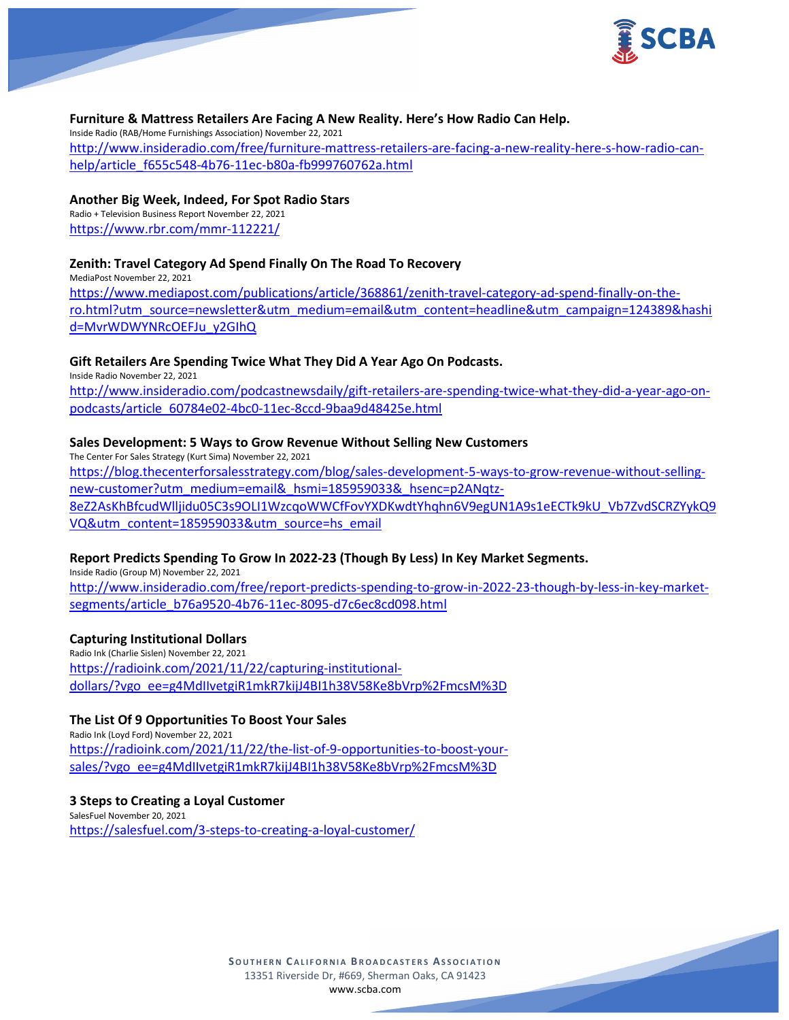

## **Furniture & Mattress Retailers Are Facing A New Reality. Here's How Radio Can Help.**

Inside Radio (RAB/Home Furnishings Association) November 22, 2021 [http://www.insideradio.com/free/furniture-mattress-retailers-are-facing-a-new-reality-here-s-how-radio-can](http://www.insideradio.com/free/furniture-mattress-retailers-are-facing-a-new-reality-here-s-how-radio-can-help/article_f655c548-4b76-11ec-b80a-fb999760762a.html)[help/article\\_f655c548-4b76-11ec-b80a-fb999760762a.html](http://www.insideradio.com/free/furniture-mattress-retailers-are-facing-a-new-reality-here-s-how-radio-can-help/article_f655c548-4b76-11ec-b80a-fb999760762a.html)

## **Another Big Week, Indeed, For Spot Radio Stars**

Radio + Television Business Report November 22, 2021 <https://www.rbr.com/mmr-112221/>

## **Zenith: Travel Category Ad Spend Finally On The Road To Recovery**

MediaPost November 22, 2021 [https://www.mediapost.com/publications/article/368861/zenith-travel-category-ad-spend-finally-on-the](https://www.mediapost.com/publications/article/368861/zenith-travel-category-ad-spend-finally-on-the-ro.html?utm_source=newsletter&utm_medium=email&utm_content=headline&utm_campaign=124389&hashid=MvrWDWYNRcOEFJu_y2GIhQ)[ro.html?utm\\_source=newsletter&utm\\_medium=email&utm\\_content=headline&utm\\_campaign=124389&hashi](https://www.mediapost.com/publications/article/368861/zenith-travel-category-ad-spend-finally-on-the-ro.html?utm_source=newsletter&utm_medium=email&utm_content=headline&utm_campaign=124389&hashid=MvrWDWYNRcOEFJu_y2GIhQ) [d=MvrWDWYNRcOEFJu\\_y2GIhQ](https://www.mediapost.com/publications/article/368861/zenith-travel-category-ad-spend-finally-on-the-ro.html?utm_source=newsletter&utm_medium=email&utm_content=headline&utm_campaign=124389&hashid=MvrWDWYNRcOEFJu_y2GIhQ)

## **Gift Retailers Are Spending Twice What They Did A Year Ago On Podcasts.**

Inside Radio November 22, 2021 [http://www.insideradio.com/podcastnewsdaily/gift-retailers-are-spending-twice-what-they-did-a-year-ago-on](http://www.insideradio.com/podcastnewsdaily/gift-retailers-are-spending-twice-what-they-did-a-year-ago-on-podcasts/article_60784e02-4bc0-11ec-8ccd-9baa9d48425e.html)[podcasts/article\\_60784e02-4bc0-11ec-8ccd-9baa9d48425e.html](http://www.insideradio.com/podcastnewsdaily/gift-retailers-are-spending-twice-what-they-did-a-year-ago-on-podcasts/article_60784e02-4bc0-11ec-8ccd-9baa9d48425e.html)

## **Sales Development: 5 Ways to Grow Revenue Without Selling New Customers**

The Center For Sales Strategy (Kurt Sima) November 22, 2021 [https://blog.thecenterforsalesstrategy.com/blog/sales-development-5-ways-to-grow-revenue-without-selling](https://blog.thecenterforsalesstrategy.com/blog/sales-development-5-ways-to-grow-revenue-without-selling-new-customer?utm_medium=email&_hsmi=185959033&_hsenc=p2ANqtz-8eZ2AsKhBfcudWlljidu05C3s9OLI1WzcqoWWCfFovYXDKwdtYhqhn6V9egUN1A9s1eECTk9kU_Vb7ZvdSCRZYykQ9VQ&utm_content=185959033&utm_source=hs_email)[new-customer?utm\\_medium=email&\\_hsmi=185959033&\\_hsenc=p2ANqtz-](https://blog.thecenterforsalesstrategy.com/blog/sales-development-5-ways-to-grow-revenue-without-selling-new-customer?utm_medium=email&_hsmi=185959033&_hsenc=p2ANqtz-8eZ2AsKhBfcudWlljidu05C3s9OLI1WzcqoWWCfFovYXDKwdtYhqhn6V9egUN1A9s1eECTk9kU_Vb7ZvdSCRZYykQ9VQ&utm_content=185959033&utm_source=hs_email)[8eZ2AsKhBfcudWlljidu05C3s9OLI1WzcqoWWCfFovYXDKwdtYhqhn6V9egUN1A9s1eECTk9kU\\_Vb7ZvdSCRZYykQ9](https://blog.thecenterforsalesstrategy.com/blog/sales-development-5-ways-to-grow-revenue-without-selling-new-customer?utm_medium=email&_hsmi=185959033&_hsenc=p2ANqtz-8eZ2AsKhBfcudWlljidu05C3s9OLI1WzcqoWWCfFovYXDKwdtYhqhn6V9egUN1A9s1eECTk9kU_Vb7ZvdSCRZYykQ9VQ&utm_content=185959033&utm_source=hs_email) [VQ&utm\\_content=185959033&utm\\_source=hs\\_email](https://blog.thecenterforsalesstrategy.com/blog/sales-development-5-ways-to-grow-revenue-without-selling-new-customer?utm_medium=email&_hsmi=185959033&_hsenc=p2ANqtz-8eZ2AsKhBfcudWlljidu05C3s9OLI1WzcqoWWCfFovYXDKwdtYhqhn6V9egUN1A9s1eECTk9kU_Vb7ZvdSCRZYykQ9VQ&utm_content=185959033&utm_source=hs_email)

# **Report Predicts Spending To Grow In 2022-23 (Though By Less) In Key Market Segments.**

Inside Radio (Group M) November 22, 2021 [http://www.insideradio.com/free/report-predicts-spending-to-grow-in-2022-23-though-by-less-in-key-market](http://www.insideradio.com/free/report-predicts-spending-to-grow-in-2022-23-though-by-less-in-key-market-segments/article_b76a9520-4b76-11ec-8095-d7c6ec8cd098.html)[segments/article\\_b76a9520-4b76-11ec-8095-d7c6ec8cd098.html](http://www.insideradio.com/free/report-predicts-spending-to-grow-in-2022-23-though-by-less-in-key-market-segments/article_b76a9520-4b76-11ec-8095-d7c6ec8cd098.html)

## **Capturing Institutional Dollars**

Radio Ink (Charlie Sislen) November 22, 2021 [https://radioink.com/2021/11/22/capturing-institutional](https://radioink.com/2021/11/22/capturing-institutional-dollars/?vgo_ee=g4MdIIvetgiR1mkR7kijJ4BI1h38V58Ke8bVrp%2FmcsM%3D)[dollars/?vgo\\_ee=g4MdIIvetgiR1mkR7kijJ4BI1h38V58Ke8bVrp%2FmcsM%3D](https://radioink.com/2021/11/22/capturing-institutional-dollars/?vgo_ee=g4MdIIvetgiR1mkR7kijJ4BI1h38V58Ke8bVrp%2FmcsM%3D)

## **The List Of 9 Opportunities To Boost Your Sales**

Radio Ink (Loyd Ford) November 22, 2021 [https://radioink.com/2021/11/22/the-list-of-9-opportunities-to-boost-your](https://radioink.com/2021/11/22/the-list-of-9-opportunities-to-boost-your-sales/?vgo_ee=g4MdIIvetgiR1mkR7kijJ4BI1h38V58Ke8bVrp%2FmcsM%3D)[sales/?vgo\\_ee=g4MdIIvetgiR1mkR7kijJ4BI1h38V58Ke8bVrp%2FmcsM%3D](https://radioink.com/2021/11/22/the-list-of-9-opportunities-to-boost-your-sales/?vgo_ee=g4MdIIvetgiR1mkR7kijJ4BI1h38V58Ke8bVrp%2FmcsM%3D)

**3 Steps to Creating a Loyal Customer** SalesFuel November 20, 2021 <https://salesfuel.com/3-steps-to-creating-a-loyal-customer/>

> **SOUTHERN C ALIFORNIA B ROADCASTERS ASSOCIATION** 13351 Riverside Dr, #669, Sherman Oaks, CA 91423 [www.scba.com](http://www.scba.com/)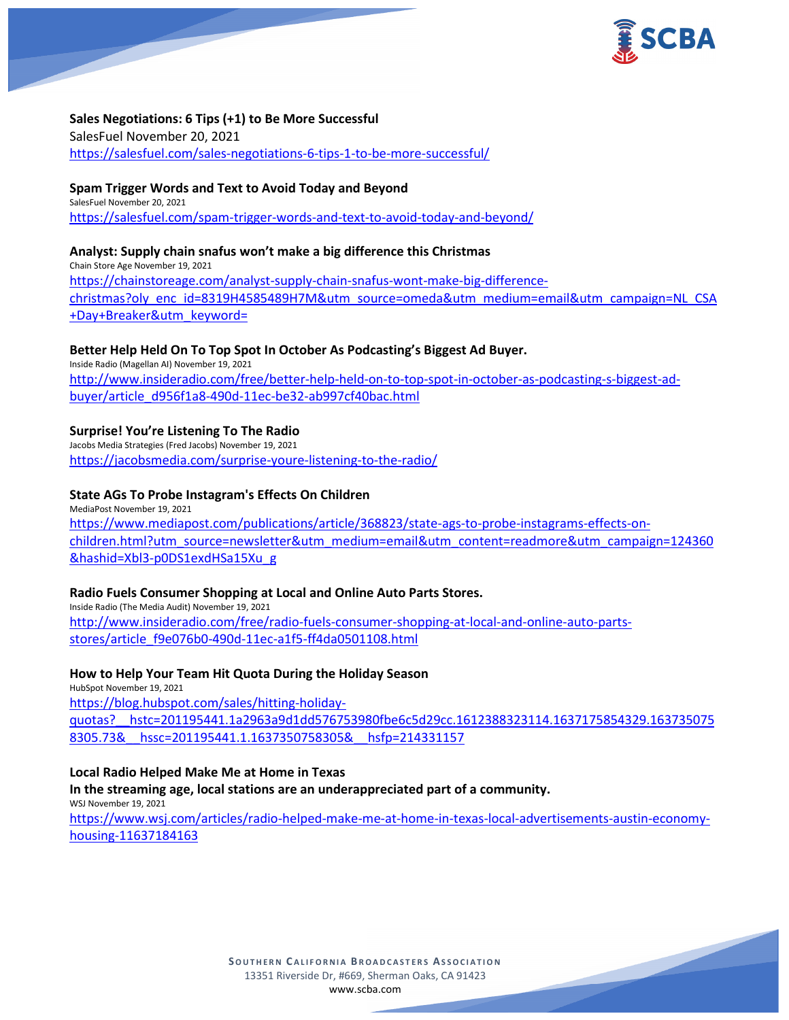

## **Sales Negotiations: 6 Tips (+1) to Be More Successful**

SalesFuel November 20, 2021 <https://salesfuel.com/sales-negotiations-6-tips-1-to-be-more-successful/>

## **Spam Trigger Words and Text to Avoid Today and Beyond**

SalesFuel November 20, 2021 <https://salesfuel.com/spam-trigger-words-and-text-to-avoid-today-and-beyond/>

## **Analyst: Supply chain snafus won't make a big difference this Christmas**

Chain Store Age November 19, 2021 [https://chainstoreage.com/analyst-supply-chain-snafus-wont-make-big-difference](https://chainstoreage.com/analyst-supply-chain-snafus-wont-make-big-difference-christmas?oly_enc_id=8319H4585489H7M&utm_source=omeda&utm_medium=email&utm_campaign=NL_CSA+Day+Breaker&utm_keyword=)[christmas?oly\\_enc\\_id=8319H4585489H7M&utm\\_source=omeda&utm\\_medium=email&utm\\_campaign=NL\\_CSA](https://chainstoreage.com/analyst-supply-chain-snafus-wont-make-big-difference-christmas?oly_enc_id=8319H4585489H7M&utm_source=omeda&utm_medium=email&utm_campaign=NL_CSA+Day+Breaker&utm_keyword=) [+Day+Breaker&utm\\_keyword=](https://chainstoreage.com/analyst-supply-chain-snafus-wont-make-big-difference-christmas?oly_enc_id=8319H4585489H7M&utm_source=omeda&utm_medium=email&utm_campaign=NL_CSA+Day+Breaker&utm_keyword=)

## **Better Help Held On To Top Spot In October As Podcasting's Biggest Ad Buyer.**

Inside Radio (Magellan AI) November 19, 2021 [http://www.insideradio.com/free/better-help-held-on-to-top-spot-in-october-as-podcasting-s-biggest-ad](http://www.insideradio.com/free/better-help-held-on-to-top-spot-in-october-as-podcasting-s-biggest-ad-buyer/article_d956f1a8-490d-11ec-be32-ab997cf40bac.html)[buyer/article\\_d956f1a8-490d-11ec-be32-ab997cf40bac.html](http://www.insideradio.com/free/better-help-held-on-to-top-spot-in-october-as-podcasting-s-biggest-ad-buyer/article_d956f1a8-490d-11ec-be32-ab997cf40bac.html)

# **Surprise! You're Listening To The Radio**

Jacobs Media Strategies (Fred Jacobs) November 19, 2021 <https://jacobsmedia.com/surprise-youre-listening-to-the-radio/>

## **State AGs To Probe Instagram's Effects On Children**

MediaPost November 19, 2021 [https://www.mediapost.com/publications/article/368823/state-ags-to-probe-instagrams-effects-on](https://www.mediapost.com/publications/article/368823/state-ags-to-probe-instagrams-effects-on-children.html?utm_source=newsletter&utm_medium=email&utm_content=readmore&utm_campaign=124360&hashid=Xbl3-p0DS1exdHSa15Xu_g)[children.html?utm\\_source=newsletter&utm\\_medium=email&utm\\_content=readmore&utm\\_campaign=124360](https://www.mediapost.com/publications/article/368823/state-ags-to-probe-instagrams-effects-on-children.html?utm_source=newsletter&utm_medium=email&utm_content=readmore&utm_campaign=124360&hashid=Xbl3-p0DS1exdHSa15Xu_g) [&hashid=Xbl3-p0DS1exdHSa15Xu\\_g](https://www.mediapost.com/publications/article/368823/state-ags-to-probe-instagrams-effects-on-children.html?utm_source=newsletter&utm_medium=email&utm_content=readmore&utm_campaign=124360&hashid=Xbl3-p0DS1exdHSa15Xu_g)

## **Radio Fuels Consumer Shopping at Local and Online Auto Parts Stores.**

Inside Radio (The Media Audit) November 19, 2021 [http://www.insideradio.com/free/radio-fuels-consumer-shopping-at-local-and-online-auto-parts](http://www.insideradio.com/free/radio-fuels-consumer-shopping-at-local-and-online-auto-parts-stores/article_f9e076b0-490d-11ec-a1f5-ff4da0501108.html)[stores/article\\_f9e076b0-490d-11ec-a1f5-ff4da0501108.html](http://www.insideradio.com/free/radio-fuels-consumer-shopping-at-local-and-online-auto-parts-stores/article_f9e076b0-490d-11ec-a1f5-ff4da0501108.html)

## **How to Help Your Team Hit Quota During the Holiday Season**

HubSpot November 19, 2021 [https://blog.hubspot.com/sales/hitting-holiday](https://blog.hubspot.com/sales/hitting-holiday-quotas?__hstc=201195441.1a2963a9d1dd576753980fbe6c5d29cc.1612388323114.1637175854329.1637350758305.73&__hssc=201195441.1.1637350758305&__hsfp=214331157)[quotas?\\_\\_hstc=201195441.1a2963a9d1dd576753980fbe6c5d29cc.1612388323114.1637175854329.163735075](https://blog.hubspot.com/sales/hitting-holiday-quotas?__hstc=201195441.1a2963a9d1dd576753980fbe6c5d29cc.1612388323114.1637175854329.1637350758305.73&__hssc=201195441.1.1637350758305&__hsfp=214331157) [8305.73&\\_\\_hssc=201195441.1.1637350758305&\\_\\_hsfp=214331157](https://blog.hubspot.com/sales/hitting-holiday-quotas?__hstc=201195441.1a2963a9d1dd576753980fbe6c5d29cc.1612388323114.1637175854329.1637350758305.73&__hssc=201195441.1.1637350758305&__hsfp=214331157)

## **Local Radio Helped Make Me at Home in Texas**

**In the streaming age, local stations are an underappreciated part of a community.** WSJ November 19, 2021

[https://www.wsj.com/articles/radio-helped-make-me-at-home-in-texas-local-advertisements-austin-economy](https://www.wsj.com/articles/radio-helped-make-me-at-home-in-texas-local-advertisements-austin-economy-housing-11637184163)[housing-11637184163](https://www.wsj.com/articles/radio-helped-make-me-at-home-in-texas-local-advertisements-austin-economy-housing-11637184163)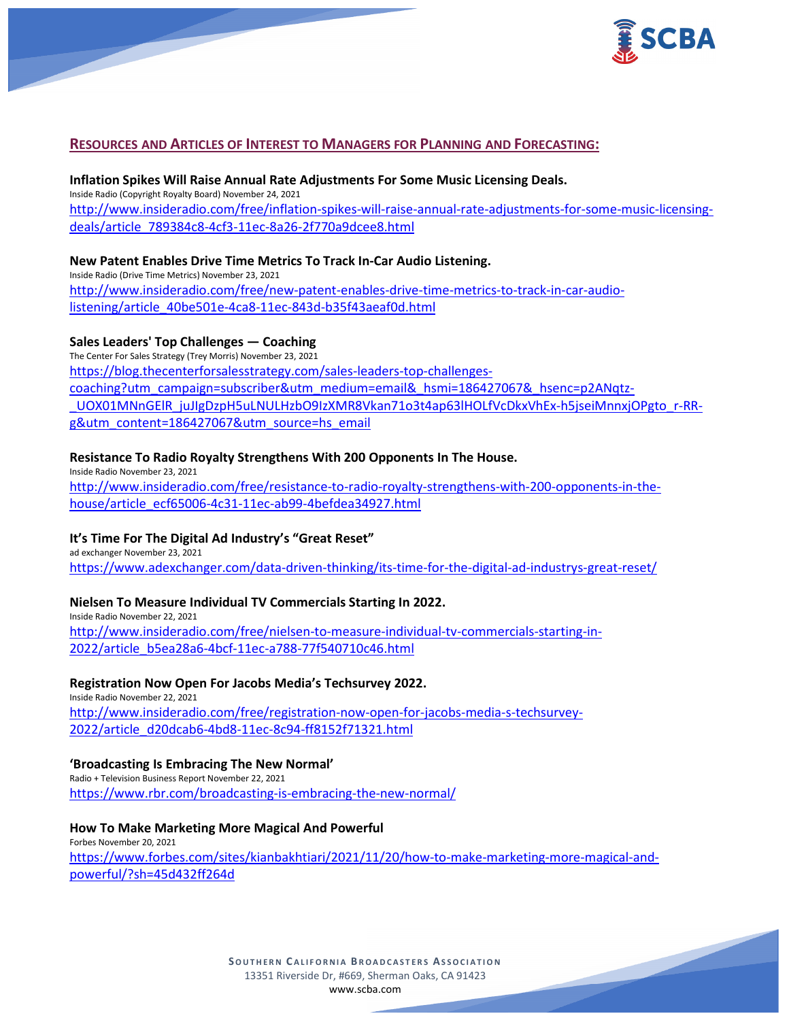

## **RESOURCES AND ARTICLES OF INTEREST TO MANAGERS FOR PLANNING AND FORECASTING:**

# **Inflation Spikes Will Raise Annual Rate Adjustments For Some Music Licensing Deals.**

Inside Radio (Copyright Royalty Board) November 24, 2021 [http://www.insideradio.com/free/inflation-spikes-will-raise-annual-rate-adjustments-for-some-music-licensing](http://www.insideradio.com/free/inflation-spikes-will-raise-annual-rate-adjustments-for-some-music-licensing-deals/article_789384c8-4cf3-11ec-8a26-2f770a9dcee8.html)[deals/article\\_789384c8-4cf3-11ec-8a26-2f770a9dcee8.html](http://www.insideradio.com/free/inflation-spikes-will-raise-annual-rate-adjustments-for-some-music-licensing-deals/article_789384c8-4cf3-11ec-8a26-2f770a9dcee8.html)

## **New Patent Enables Drive Time Metrics To Track In-Car Audio Listening.**

Inside Radio (Drive Time Metrics) November 23, 2021 [http://www.insideradio.com/free/new-patent-enables-drive-time-metrics-to-track-in-car-audio](http://www.insideradio.com/free/new-patent-enables-drive-time-metrics-to-track-in-car-audio-listening/article_40be501e-4ca8-11ec-843d-b35f43aeaf0d.html)[listening/article\\_40be501e-4ca8-11ec-843d-b35f43aeaf0d.html](http://www.insideradio.com/free/new-patent-enables-drive-time-metrics-to-track-in-car-audio-listening/article_40be501e-4ca8-11ec-843d-b35f43aeaf0d.html)

#### **Sales Leaders' Top Challenges — Coaching**

The Center For Sales Strategy (Trey Morris) November 23, 2021 [https://blog.thecenterforsalesstrategy.com/sales-leaders-top-challenges](https://blog.thecenterforsalesstrategy.com/sales-leaders-top-challenges-coaching?utm_campaign=subscriber&utm_medium=email&_hsmi=186427067&_hsenc=p2ANqtz-_UOX01MNnGElR_juJIgDzpH5uLNULHzbO9IzXMR8Vkan71o3t4ap63lHOLfVcDkxVhEx-h5jseiMnnxjOPgto_r-RR-g&utm_content=186427067&utm_source=hs_email)[coaching?utm\\_campaign=subscriber&utm\\_medium=email&\\_hsmi=186427067&\\_hsenc=p2ANqtz-](https://blog.thecenterforsalesstrategy.com/sales-leaders-top-challenges-coaching?utm_campaign=subscriber&utm_medium=email&_hsmi=186427067&_hsenc=p2ANqtz-_UOX01MNnGElR_juJIgDzpH5uLNULHzbO9IzXMR8Vkan71o3t4ap63lHOLfVcDkxVhEx-h5jseiMnnxjOPgto_r-RR-g&utm_content=186427067&utm_source=hs_email) [\\_UOX01MNnGElR\\_juJIgDzpH5uLNULHzbO9IzXMR8Vkan71o3t4ap63lHOLfVcDkxVhEx-h5jseiMnnxjOPgto\\_r-RR](https://blog.thecenterforsalesstrategy.com/sales-leaders-top-challenges-coaching?utm_campaign=subscriber&utm_medium=email&_hsmi=186427067&_hsenc=p2ANqtz-_UOX01MNnGElR_juJIgDzpH5uLNULHzbO9IzXMR8Vkan71o3t4ap63lHOLfVcDkxVhEx-h5jseiMnnxjOPgto_r-RR-g&utm_content=186427067&utm_source=hs_email)[g&utm\\_content=186427067&utm\\_source=hs\\_email](https://blog.thecenterforsalesstrategy.com/sales-leaders-top-challenges-coaching?utm_campaign=subscriber&utm_medium=email&_hsmi=186427067&_hsenc=p2ANqtz-_UOX01MNnGElR_juJIgDzpH5uLNULHzbO9IzXMR8Vkan71o3t4ap63lHOLfVcDkxVhEx-h5jseiMnnxjOPgto_r-RR-g&utm_content=186427067&utm_source=hs_email)

## **Resistance To Radio Royalty Strengthens With 200 Opponents In The House.**

Inside Radio November 23, 2021 [http://www.insideradio.com/free/resistance-to-radio-royalty-strengthens-with-200-opponents-in-the](http://www.insideradio.com/free/resistance-to-radio-royalty-strengthens-with-200-opponents-in-the-house/article_ecf65006-4c31-11ec-ab99-4befdea34927.html)[house/article\\_ecf65006-4c31-11ec-ab99-4befdea34927.html](http://www.insideradio.com/free/resistance-to-radio-royalty-strengthens-with-200-opponents-in-the-house/article_ecf65006-4c31-11ec-ab99-4befdea34927.html)

## **It's Time For The Digital Ad Industry's "Great Reset"**

ad exchanger November 23, 2021 <https://www.adexchanger.com/data-driven-thinking/its-time-for-the-digital-ad-industrys-great-reset/>

## **Nielsen To Measure Individual TV Commercials Starting In 2022.**

Inside Radio November 22, 2021 [http://www.insideradio.com/free/nielsen-to-measure-individual-tv-commercials-starting-in-](http://www.insideradio.com/free/nielsen-to-measure-individual-tv-commercials-starting-in-2022/article_b5ea28a6-4bcf-11ec-a788-77f540710c46.html)[2022/article\\_b5ea28a6-4bcf-11ec-a788-77f540710c46.html](http://www.insideradio.com/free/nielsen-to-measure-individual-tv-commercials-starting-in-2022/article_b5ea28a6-4bcf-11ec-a788-77f540710c46.html)

#### **Registration Now Open For Jacobs Media's Techsurvey 2022.**

Inside Radio November 22, 2021 [http://www.insideradio.com/free/registration-now-open-for-jacobs-media-s-techsurvey-](http://www.insideradio.com/free/registration-now-open-for-jacobs-media-s-techsurvey-2022/article_d20dcab6-4bd8-11ec-8c94-ff8152f71321.html)[2022/article\\_d20dcab6-4bd8-11ec-8c94-ff8152f71321.html](http://www.insideradio.com/free/registration-now-open-for-jacobs-media-s-techsurvey-2022/article_d20dcab6-4bd8-11ec-8c94-ff8152f71321.html)

## **'Broadcasting Is Embracing The New Normal'**

Radio + Television Business Report November 22, 2021 <https://www.rbr.com/broadcasting-is-embracing-the-new-normal/>

#### **How To Make Marketing More Magical And Powerful**

Forbes November 20, 2021 [https://www.forbes.com/sites/kianbakhtiari/2021/11/20/how-to-make-marketing-more-magical-and](https://www.forbes.com/sites/kianbakhtiari/2021/11/20/how-to-make-marketing-more-magical-and-powerful/?sh=45d432ff264d)[powerful/?sh=45d432ff264d](https://www.forbes.com/sites/kianbakhtiari/2021/11/20/how-to-make-marketing-more-magical-and-powerful/?sh=45d432ff264d)

> **SOUTHERN C ALIFORNIA B ROADCASTERS ASSOCIATION** 13351 Riverside Dr, #669, Sherman Oaks, CA 91423 [www.scba.com](http://www.scba.com/)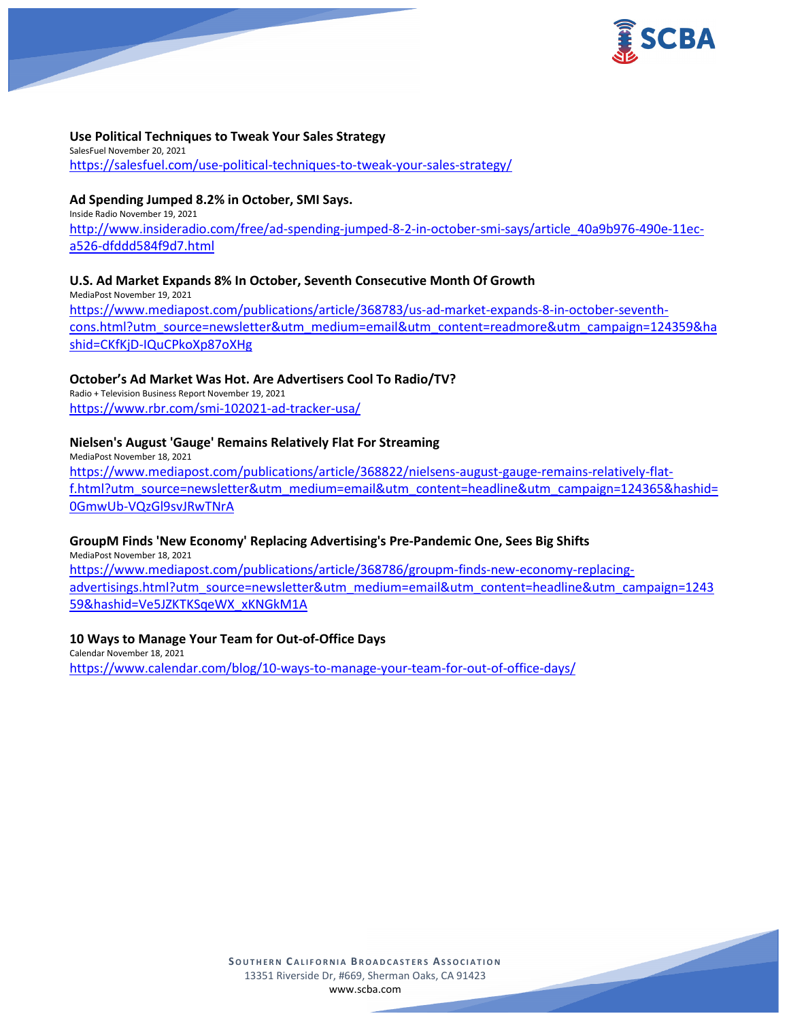

## **Use Political Techniques to Tweak Your Sales Strategy**

SalesFuel November 20, 2021 <https://salesfuel.com/use-political-techniques-to-tweak-your-sales-strategy/>

# **Ad Spending Jumped 8.2% in October, SMI Says.**

Inside Radio November 19, 2021 [http://www.insideradio.com/free/ad-spending-jumped-8-2-in-october-smi-says/article\\_40a9b976-490e-11ec](http://www.insideradio.com/free/ad-spending-jumped-8-2-in-october-smi-says/article_40a9b976-490e-11ec-a526-dfddd584f9d7.html)[a526-dfddd584f9d7.html](http://www.insideradio.com/free/ad-spending-jumped-8-2-in-october-smi-says/article_40a9b976-490e-11ec-a526-dfddd584f9d7.html)

#### **U.S. Ad Market Expands 8% In October, Seventh Consecutive Month Of Growth**

MediaPost November 19, 2021 [https://www.mediapost.com/publications/article/368783/us-ad-market-expands-8-in-october-seventh](https://www.mediapost.com/publications/article/368783/us-ad-market-expands-8-in-october-seventh-cons.html?utm_source=newsletter&utm_medium=email&utm_content=readmore&utm_campaign=124359&hashid=CKfKjD-IQuCPkoXp87oXHg)[cons.html?utm\\_source=newsletter&utm\\_medium=email&utm\\_content=readmore&utm\\_campaign=124359&ha](https://www.mediapost.com/publications/article/368783/us-ad-market-expands-8-in-october-seventh-cons.html?utm_source=newsletter&utm_medium=email&utm_content=readmore&utm_campaign=124359&hashid=CKfKjD-IQuCPkoXp87oXHg) [shid=CKfKjD-IQuCPkoXp87oXHg](https://www.mediapost.com/publications/article/368783/us-ad-market-expands-8-in-october-seventh-cons.html?utm_source=newsletter&utm_medium=email&utm_content=readmore&utm_campaign=124359&hashid=CKfKjD-IQuCPkoXp87oXHg)

#### **October's Ad Market Was Hot. Are Advertisers Cool To Radio/TV?**

Radio + Television Business Report November 19, 2021 <https://www.rbr.com/smi-102021-ad-tracker-usa/>

#### **Nielsen's August 'Gauge' Remains Relatively Flat For Streaming**

MediaPost November 18, 2021 [https://www.mediapost.com/publications/article/368822/nielsens-august-gauge-remains-relatively-flat](https://www.mediapost.com/publications/article/368822/nielsens-august-gauge-remains-relatively-flat-f.html?utm_source=newsletter&utm_medium=email&utm_content=headline&utm_campaign=124365&hashid=0GmwUb-VQzGl9svJRwTNrA)[f.html?utm\\_source=newsletter&utm\\_medium=email&utm\\_content=headline&utm\\_campaign=124365&hashid=](https://www.mediapost.com/publications/article/368822/nielsens-august-gauge-remains-relatively-flat-f.html?utm_source=newsletter&utm_medium=email&utm_content=headline&utm_campaign=124365&hashid=0GmwUb-VQzGl9svJRwTNrA) [0GmwUb-VQzGl9svJRwTNrA](https://www.mediapost.com/publications/article/368822/nielsens-august-gauge-remains-relatively-flat-f.html?utm_source=newsletter&utm_medium=email&utm_content=headline&utm_campaign=124365&hashid=0GmwUb-VQzGl9svJRwTNrA)

#### **GroupM Finds 'New Economy' Replacing Advertising's Pre-Pandemic One, Sees Big Shifts**

MediaPost November 18, 2021 [https://www.mediapost.com/publications/article/368786/groupm-finds-new-economy-replacing-](https://www.mediapost.com/publications/article/368786/groupm-finds-new-economy-replacing-advertisings.html?utm_source=newsletter&utm_medium=email&utm_content=headline&utm_campaign=124359&hashid=Ve5JZKTKSqeWX_xKNGkM1A)

[advertisings.html?utm\\_source=newsletter&utm\\_medium=email&utm\\_content=headline&utm\\_campaign=1243](https://www.mediapost.com/publications/article/368786/groupm-finds-new-economy-replacing-advertisings.html?utm_source=newsletter&utm_medium=email&utm_content=headline&utm_campaign=124359&hashid=Ve5JZKTKSqeWX_xKNGkM1A) [59&hashid=Ve5JZKTKSqeWX\\_xKNGkM1A](https://www.mediapost.com/publications/article/368786/groupm-finds-new-economy-replacing-advertisings.html?utm_source=newsletter&utm_medium=email&utm_content=headline&utm_campaign=124359&hashid=Ve5JZKTKSqeWX_xKNGkM1A)

## **10 Ways to Manage Your Team for Out-of-Office Days**

Calendar November 18, 2021 <https://www.calendar.com/blog/10-ways-to-manage-your-team-for-out-of-office-days/>